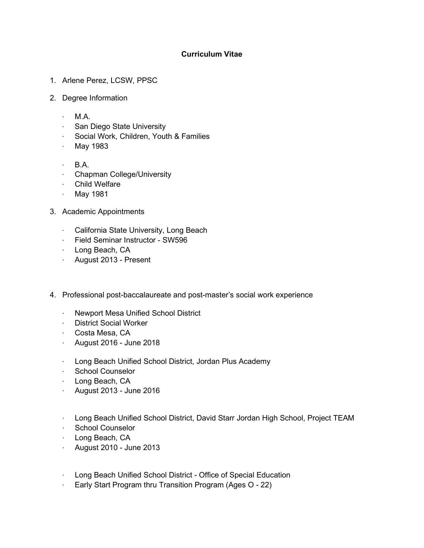## **Curriculum Vitae**

- 1. Arlene Perez, LCSW, PPSC
- 2. Degree Information
	- · M.A.
	- · San Diego State University
	- · Social Work, Children, Youth & Families
	- · May 1983
	- $\cdot$  B.A.
	- · Chapman College/University
	- · Child Welfare
	- · May 1981
- 3. Academic Appointments
	- · California State University, Long Beach
	- · Field Seminar Instructor SW596
	- · Long Beach, CA
	- · August 2013 Present
- 4. Professional post-baccalaureate and post-master's social work experience
	- · Newport Mesa Unified School District
	- · District Social Worker
	- · Costa Mesa, CA
	- · August 2016 June 2018
	- · Long Beach Unified School District, Jordan Plus Academy
	- · School Counselor
	- · Long Beach, CA
	- · August 2013 June 2016
	- · Long Beach Unified School District, David Starr Jordan High School, Project TEAM
	- · School Counselor
	- · Long Beach, CA
	- · August 2010 June 2013
	- · Long Beach Unified School District Office of Special Education
	- · Early Start Program thru Transition Program (Ages O 22)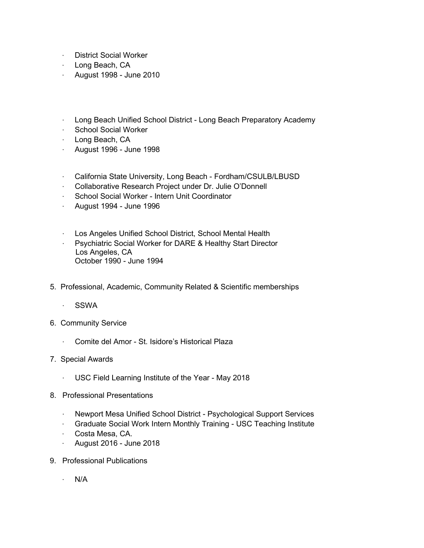- · District Social Worker
- · Long Beach, CA
- · August 1998 June 2010
- · Long Beach Unified School District Long Beach Preparatory Academy
- · School Social Worker
- · Long Beach, CA
- · August 1996 June 1998
- · California State University, Long Beach Fordham/CSULB/LBUSD
- · Collaborative Research Project under Dr. Julie O'Donnell
- · School Social Worker Intern Unit Coordinator
- · August 1994 June 1996
- Los Angeles Unified School District, School Mental Health
- Psychiatric Social Worker for DARE & Healthy Start Director Los Angeles, CA October 1990 - June 1994
- 5. Professional, Academic, Community Related & Scientific memberships
	- · SSWA
- 6. Community Service
	- Comite del Amor St. Isidore's Historical Plaza

## 7. Special Awards

- USC Field Learning Institute of the Year May 2018
- 8. Professional Presentations
	- · Newport Mesa Unified School District Psychological Support Services
	- · Graduate Social Work Intern Monthly Training USC Teaching Institute
	- Costa Mesa, CA.
	- · August 2016 June 2018
- 9. Professional Publications
	- $N/A$